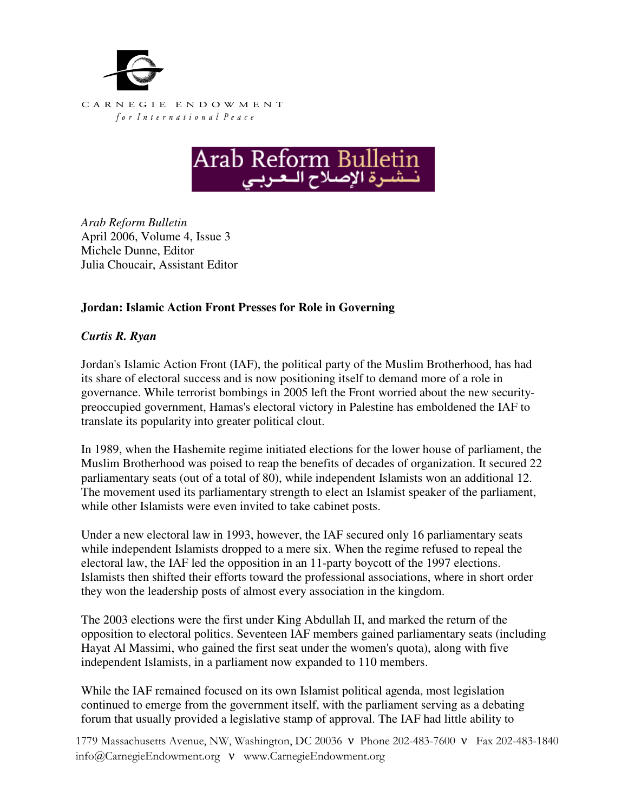



*Arab Reform Bulletin*  April 2006, Volume 4, Issue 3 Michele Dunne, Editor Julia Choucair, Assistant Editor

## **Jordan: Islamic Action Front Presses for Role in Governing**

## *Curtis R. Ryan*

Jordan's Islamic Action Front (IAF), the political party of the Muslim Brotherhood, has had its share of electoral success and is now positioning itself to demand more of a role in governance. While terrorist bombings in 2005 left the Front worried about the new securitypreoccupied government, Hamas's electoral victory in Palestine has emboldened the IAF to translate its popularity into greater political clout.

In 1989, when the Hashemite regime initiated elections for the lower house of parliament, the Muslim Brotherhood was poised to reap the benefits of decades of organization. It secured 22 parliamentary seats (out of a total of 80), while independent Islamists won an additional 12. The movement used its parliamentary strength to elect an Islamist speaker of the parliament, while other Islamists were even invited to take cabinet posts.

Under a new electoral law in 1993, however, the IAF secured only 16 parliamentary seats while independent Islamists dropped to a mere six. When the regime refused to repeal the electoral law, the IAF led the opposition in an 11-party boycott of the 1997 elections. Islamists then shifted their efforts toward the professional associations, where in short order they won the leadership posts of almost every association in the kingdom.

The 2003 elections were the first under King Abdullah II, and marked the return of the opposition to electoral politics. Seventeen IAF members gained parliamentary seats (including Hayat Al Massimi, who gained the first seat under the women's quota), along with five independent Islamists, in a parliament now expanded to 110 members.

While the IAF remained focused on its own Islamist political agenda, most legislation continued to emerge from the government itself, with the parliament serving as a debating forum that usually provided a legislative stamp of approval. The IAF had little ability to

1779 Massachusetts Avenue, NW, Washington, DC 20036 ν Phone 202-483-7600 ν Fax 202-483-1840 info@CarnegieEndowment.org ν www.CarnegieEndowment.org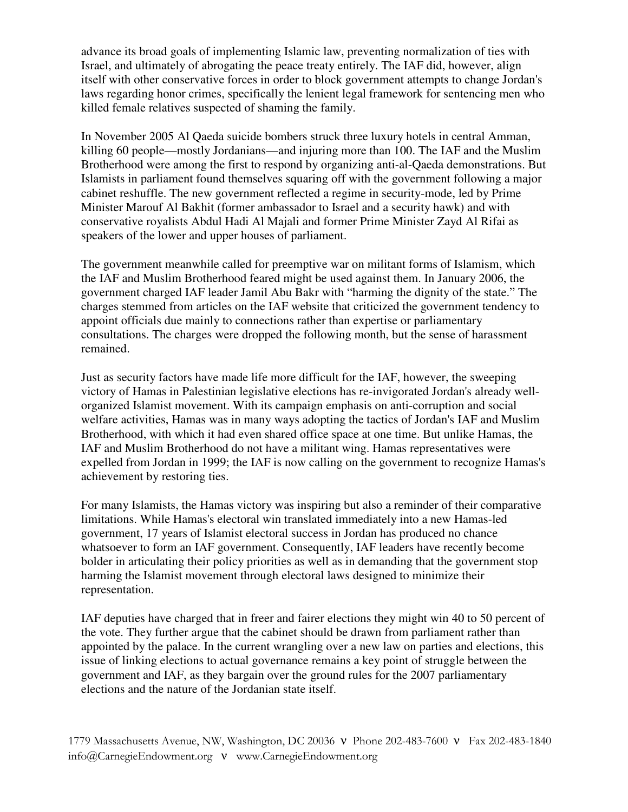advance its broad goals of implementing Islamic law, preventing normalization of ties with Israel, and ultimately of abrogating the peace treaty entirely. The IAF did, however, align itself with other conservative forces in order to block government attempts to change Jordan's laws regarding honor crimes, specifically the lenient legal framework for sentencing men who killed female relatives suspected of shaming the family.

In November 2005 Al Qaeda suicide bombers struck three luxury hotels in central Amman, killing 60 people—mostly Jordanians—and injuring more than 100. The IAF and the Muslim Brotherhood were among the first to respond by organizing anti-al-Qaeda demonstrations. But Islamists in parliament found themselves squaring off with the government following a major cabinet reshuffle. The new government reflected a regime in security-mode, led by Prime Minister Marouf Al Bakhit (former ambassador to Israel and a security hawk) and with conservative royalists Abdul Hadi Al Majali and former Prime Minister Zayd Al Rifai as speakers of the lower and upper houses of parliament.

The government meanwhile called for preemptive war on militant forms of Islamism, which the IAF and Muslim Brotherhood feared might be used against them. In January 2006, the government charged IAF leader Jamil Abu Bakr with "harming the dignity of the state." The charges stemmed from articles on the IAF website that criticized the government tendency to appoint officials due mainly to connections rather than expertise or parliamentary consultations. The charges were dropped the following month, but the sense of harassment remained.

Just as security factors have made life more difficult for the IAF, however, the sweeping victory of Hamas in Palestinian legislative elections has re-invigorated Jordan's already wellorganized Islamist movement. With its campaign emphasis on anti-corruption and social welfare activities, Hamas was in many ways adopting the tactics of Jordan's IAF and Muslim Brotherhood, with which it had even shared office space at one time. But unlike Hamas, the IAF and Muslim Brotherhood do not have a militant wing. Hamas representatives were expelled from Jordan in 1999; the IAF is now calling on the government to recognize Hamas's achievement by restoring ties.

For many Islamists, the Hamas victory was inspiring but also a reminder of their comparative limitations. While Hamas's electoral win translated immediately into a new Hamas-led government, 17 years of Islamist electoral success in Jordan has produced no chance whatsoever to form an IAF government. Consequently, IAF leaders have recently become bolder in articulating their policy priorities as well as in demanding that the government stop harming the Islamist movement through electoral laws designed to minimize their representation.

IAF deputies have charged that in freer and fairer elections they might win 40 to 50 percent of the vote. They further argue that the cabinet should be drawn from parliament rather than appointed by the palace. In the current wrangling over a new law on parties and elections, this issue of linking elections to actual governance remains a key point of struggle between the government and IAF, as they bargain over the ground rules for the 2007 parliamentary elections and the nature of the Jordanian state itself.

1779 Massachusetts Avenue, NW, Washington, DC 20036 ν Phone 202-483-7600 ν Fax 202-483-1840 info@CarnegieEndowment.org ν www.CarnegieEndowment.org